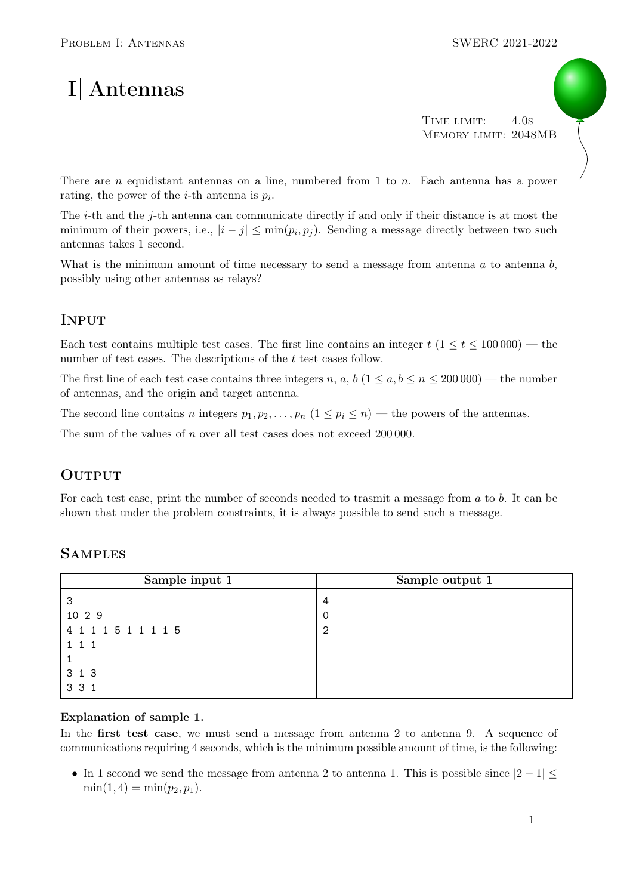# $|I|$  Antennas

TIME LIMIT: 4.0s Memory limit: 2048MB

There are n equidistant antennas on a line, numbered from 1 to n. Each antenna has a power rating, the power of the *i*-th antenna is  $p_i$ .

The *i*-th and the *j*-th antenna can communicate directly if and only if their distance is at most the minimum of their powers, i.e.,  $|i - j| \leq \min(p_i, p_j)$ . Sending a message directly between two such antennas takes 1 second.

What is the minimum amount of time necessary to send a message from antenna  $a$  to antenna  $b$ , possibly using other antennas as relays?

### **INPUT**

Each test contains multiple test cases. The first line contains an integer  $t$  (1  $\le t \le 100000$ ) — the number of test cases. The descriptions of the t test cases follow.

The first line of each test case contains three integers n, a, b  $(1 \le a, b \le n \le 200000)$  — the number of antennas, and the origin and target antenna.

The second line contains n integers  $p_1, p_2, \ldots, p_n$   $(1 \leq p_i \leq n)$  — the powers of the antennas.

The sum of the values of n over all test cases does not exceed 200 000.

#### **OUTPUT**

For each test case, print the number of seconds needed to trasmit a message from a to b. It can be shown that under the problem constraints, it is always possible to send such a message.

| Sample input 1      | Sample output 1 |
|---------------------|-----------------|
| 3                   | 4               |
| 10 2 9              | -0              |
| 4 1 1 1 5 1 1 1 1 5 | -2              |
| $1 \; 1 \; 1$       |                 |
|                     |                 |
| 3 1 3               |                 |
| 3 3 1               |                 |

## **SAMPLES**

#### Explanation of sample 1.

In the first test case, we must send a message from antenna 2 to antenna 9. A sequence of communications requiring 4 seconds, which is the minimum possible amount of time, is the following:

• In 1 second we send the message from antenna 2 to antenna 1. This is possible since  $|2 - 1| \le$  $\min(1, 4) = \min(p_2, p_1).$